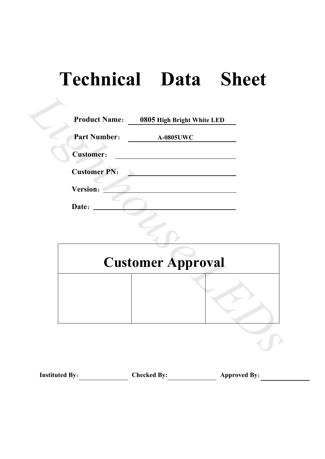# **Technical Data Sheet**

| <b>Part Number:</b><br><b>Customer:</b> | <b>A-0805UWC</b>         |
|-----------------------------------------|--------------------------|
|                                         |                          |
|                                         |                          |
| <b>Customer PN:</b>                     |                          |
|                                         |                          |
|                                         |                          |
|                                         |                          |
|                                         | <b>Customer Approval</b> |
|                                         |                          |
|                                         | Version:<br>Date:        |

# **Customer Approval**

| <b>Instituted By:</b> | <b>Checked By:</b> | <b>Approved By:</b> |
|-----------------------|--------------------|---------------------|
|-----------------------|--------------------|---------------------|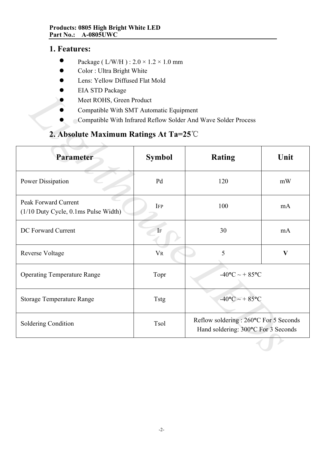## **1. Features:**

- $\bullet$ Package ( L/W/H ) : 2.0 × 1.2 × 1.0 mm
- $\bullet$ Color : Ultra Bright White
- $\bullet$ Lens: Yellow Diffused Flat Mold
- $\bullet$ EIA STD Package
- $\bullet$ Meet ROHS, Green Product
- $\bullet$ Compatible With SMT Automatic Equipment
- $\bullet$ Compatible With Infrared Reflow Solder And Wave Solder Process

## **2. Absolute Maximum Ratings At Ta=25**℃

| LIA STD I aUNASU<br>Meet ROHS, Green Product<br>Compatible With SMT Automatic Equipment |                | Compatible With Infrared Reflow Solder And Wave Solder Process                |      |  |
|-----------------------------------------------------------------------------------------|----------------|-------------------------------------------------------------------------------|------|--|
| 2. Absolute Maximum Ratings At Ta= $25^{\circ}$ C                                       |                |                                                                               |      |  |
| Parameter                                                                               | <b>Symbol</b>  | <b>Rating</b>                                                                 | Unit |  |
| Power Dissipation                                                                       | Pd             | 120                                                                           | mW   |  |
| Peak Forward Current<br>(1/10 Duty Cycle, 0.1ms Pulse Width)                            | <b>IFP</b>     | 100                                                                           | mA   |  |
| DC Forward Current                                                                      | IF             | 30                                                                            | mA   |  |
| Reverse Voltage                                                                         | V <sub>R</sub> | 5<br>$\mathbf{V}$                                                             |      |  |
| <b>Operating Temperature Range</b>                                                      | Topr           | $-40$ °C ~ + 85°C                                                             |      |  |
| <b>Storage Temperature Range</b>                                                        | <b>Tstg</b>    | $-40$ °C ~ + 85°C                                                             |      |  |
| Soldering Condition                                                                     | Tsol           | Reflow soldering : 260°C For 5 Seconds<br>Hand soldering: 300°C For 3 Seconds |      |  |
|                                                                                         |                |                                                                               |      |  |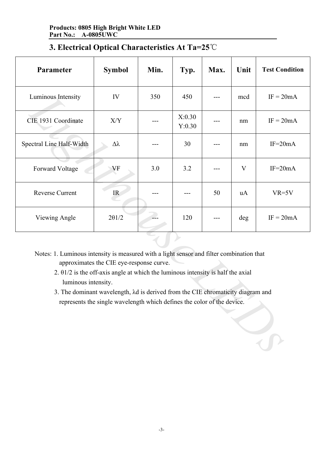| Parameter                                                                                                                                                                                                                                                                                                                                                                                                                     | <b>Symbol</b>                     | Min. | Typ.             | Max. | Unit | <b>Test Condition</b> |
|-------------------------------------------------------------------------------------------------------------------------------------------------------------------------------------------------------------------------------------------------------------------------------------------------------------------------------------------------------------------------------------------------------------------------------|-----------------------------------|------|------------------|------|------|-----------------------|
| Luminous Intensity                                                                                                                                                                                                                                                                                                                                                                                                            | IV                                | 350  | 450              |      | mcd  | $IF = 20mA$           |
| CIE 1931 Coordinate                                                                                                                                                                                                                                                                                                                                                                                                           | X/Y                               |      | X:0.30<br>Y:0.30 |      | nm   | $IF = 20mA$           |
| Spectral Line Half-Width                                                                                                                                                                                                                                                                                                                                                                                                      | Δλ                                |      | 30               |      | nm   | $IF=20mA$             |
| Forward Voltage                                                                                                                                                                                                                                                                                                                                                                                                               | VF                                | 3.0  | 3.2              |      | V    | $IF = 20mA$           |
| <b>Reverse Current</b>                                                                                                                                                                                                                                                                                                                                                                                                        | $\ensuremath{\mathsf{IR}}\xspace$ |      |                  | 50   | uA   | $VR=5V$               |
| Viewing Angle                                                                                                                                                                                                                                                                                                                                                                                                                 | $2\theta$ 1/2                     |      | 120              |      | deg  | $IF = 20mA$           |
| Notes: 1. Luminous intensity is measured with a light sensor and filter combination that<br>approximates the CIE eye-response curve.<br>2. $\theta$ 1/2 is the off-axis angle at which the luminous intensity is half the axial<br>luminous intensity.<br>3. The dominant wavelength, $\lambda d$ is derived from the CIE chromaticity diagram and<br>represents the single wavelength which defines the color of the device. |                                   |      |                  |      |      |                       |

# **3. Electrical Optical Characteristics At Ta=25**℃

- 2. θ1/2 is the off-axis angle at which the luminous intensity is half the axial luminous intensity.
- 3. The dominant wavelength, λd is derived from the CIE chromaticity diagram and represents the single wavelength which defines the color of the device.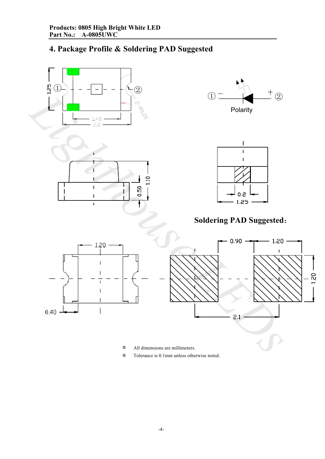# **4. Package Profile & Soldering PAD Suggested**



- $\boldsymbol{\mathsf{\hat{\star}}}$ All dimensions are millimeters.
- $\boldsymbol{\hat{\mathsf{x}}}$ Tolerance is 0.1mm unless otherwise noted.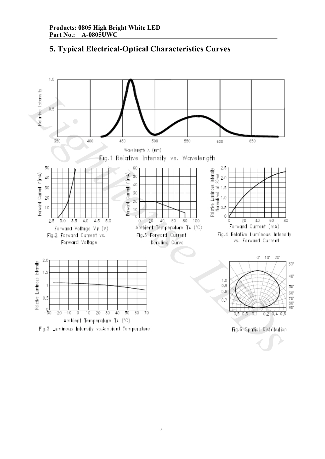

## **5. Typical Electrical-Optical Characteristics Curves**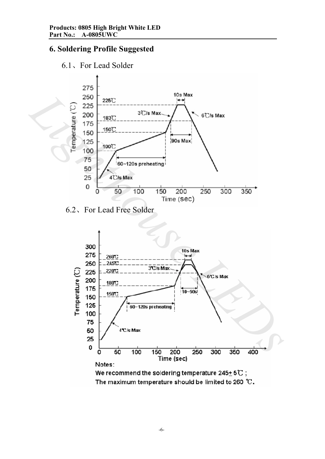## **6. Soldering Profile Suggested**





6.2、For Lead Free Solder

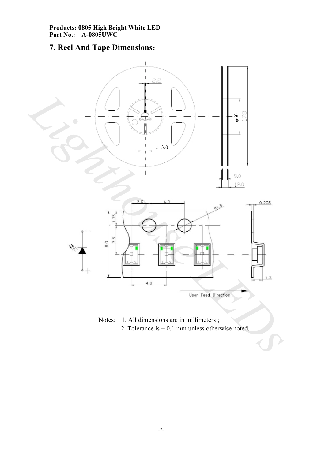# **7. Reel And Tape Dimensions**:



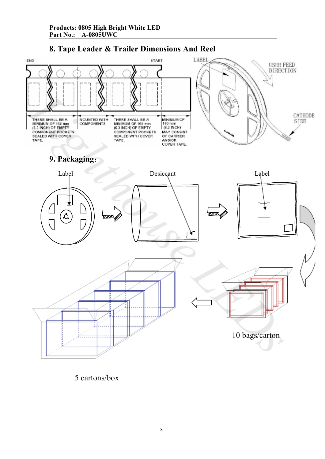## **8. Tape Leader & Trailer Dimensions And Reel**



5 cartons/box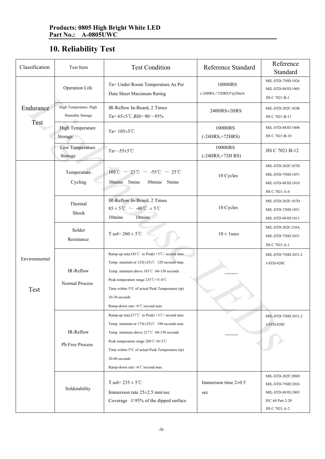# **10. Reliability Test**

| Classification        | Test Item                                  | <b>Test Condition</b>                                                                                                                                                                                                                                                                                                                                                     | <b>Reference Standard</b>          | Reference<br>Standard                                                         |
|-----------------------|--------------------------------------------|---------------------------------------------------------------------------------------------------------------------------------------------------------------------------------------------------------------------------------------------------------------------------------------------------------------------------------------------------------------------------|------------------------------------|-------------------------------------------------------------------------------|
|                       | Operation Life                             | Ta= Under Room Temperature As Per<br>Data Sheet Maximum Rating                                                                                                                                                                                                                                                                                                            | 1000HRS<br>$(-24HRS,+72HRS)*@20mA$ | MIL-STD-750D:1026<br>MIL-STD-883D:1005<br>JIS C 7021:B-1                      |
| Endurance<br>Test     | High Temperature, High<br>Humidity Storage | IR-Reflow In-Board, 2 Times<br>Ta= $65\pm5$ °C,RH= $90 \sim 95\%$                                                                                                                                                                                                                                                                                                         | 240HRS±2HRS                        | MIL-STD-202F:103B<br>JIS C 7021:B-11                                          |
|                       | <b>High Temperature</b><br>Storage         | Ta= $105 \pm 5$ °C                                                                                                                                                                                                                                                                                                                                                        | 1000HRS<br>$(-24HRS,+72HRS)$       | MIL-STD-883D:1008<br>JIS C 7021:B-10                                          |
|                       | Low Temperature<br>Storage                 | Ta= $-55 \pm 5^{\circ}$ C                                                                                                                                                                                                                                                                                                                                                 | 1000HRS<br>$(-24HRS,+72HRS)$       | JIS C 7021:B-12                                                               |
| Environmental<br>Test | Temperature<br>Cycling                     | $105^{\circ}\text{C} \sim 25^{\circ}\text{C} \sim -55^{\circ}\text{C} \sim 25^{\circ}\text{C}$<br>30mins 5mins<br>30mins 5mins                                                                                                                                                                                                                                            | 10 Cycles                          | MIL-STD-202F:107D<br>MIL-STD-750D:1051<br>MIL-STD-883D:1010<br>JIS C 7021:A-4 |
|                       | Thermal<br>Shock                           | IR-Reflow In-Board, 2 Times<br>$85 \pm 5^{\circ}\text{C} \sim -40^{\circ}\text{C} \pm 5^{\circ}\text{C}$<br>10mins<br>10mins                                                                                                                                                                                                                                              | 10 Cycles                          | MIL-STD-202F:107D<br>MIL-STD-750D:1051<br>MIL-STD-883D:1011                   |
|                       | Solder<br>Resistance                       | $T_{.}sol = 260 \pm 5^{\circ}C$                                                                                                                                                                                                                                                                                                                                           | $10 \pm 1$ secs                    | MIL-STD-202F:210A<br>MIL-STD-750D:2031<br>JIS C 7021:A-1                      |
|                       | IR-Reflow<br>Normal Process                | Ramp-up rate(183°C to Peak) +3°C/ second max<br>Temp. maintain at $125(\pm 25)$ °C 120 seconds max<br>Temp. maintain above 183℃ 60-150 seconds<br>Peak temperature range 235°C+5/-0°C<br>Time within 5°C of actual Peak Temperature (tp)<br>$10-30$ seconds<br>Ramp-down rate +6°C/second max                                                                             |                                    | MIL-STD-750D:2031.2<br>J-STD-020C                                             |
|                       | IR-Reflow<br>Pb Free Process               | Ramp-up rate(217°C to Peak) +3°C/ second max<br>Temp. maintain at $175(\pm 25)$ °C 180 seconds max<br>Temp. maintain above 217℃ 60-150 seconds<br>Peak temperature range $260^{\circ}$ C+0/-5 <sup>°</sup> C<br>Time within $5^{\circ}$ C of actual Peak Temperature (tp)<br>20-40 seconds<br>Ramp-down rate $+6^{\circ}$ C/second max<br>$T_{.}sol = 235 \pm 5^{\circ}C$ | Immersion time $2\pm0.5$           | MIL-STD-750D:2031.2<br>J-STD-020C<br>MIL-STD-202F:208D<br>MIL-STD-750D:2026   |
|                       | Solderability                              | Immersion rate $25\pm2.5$ mm/sec<br>Coverage $\geq 95\%$ of the dipped surface                                                                                                                                                                                                                                                                                            | sec                                | MIL-STD-883D:2003<br>IEC 68 Part 2-20<br>JIS C 7021:A-2                       |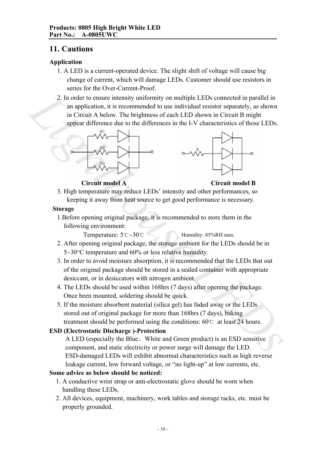## **11. Cautions**

## **Application**

- 1. A LED is a current-operated device. The slight shift of voltage will cause big change of current, which will damage LEDs. Customer should use resistors in series for the Over-Current-Proof.
- 2. In order to ensure intensity uniformity on multiple LEDs connected in parallel in an application, it is recommended to use individual resistor separately, as shown in Circuit A below. The brightness of each LED shown in Circuit B might appear difference due to the differences in the I-V characteristics of those LEDs. 2. In order to ensure intensity uniformity on multiple LEDs connected in parallel in<br>
an application, it is economeded to use individual resistor separately, as shown<br>
in Circuit A below. The brightness of each LED shown





**Circuit model A Circuit model B**

3. High temperature may reduce LEDs' intensity and other performances, so keeping it away from heat source to get good performance is necessary.

### **Storage**

1.Before opening original package, it is recommended to store them in the following environment:

Temperature: 5℃~30℃ Humidity: 85%RH max.

- 2. After opening original package, the storage ambient for the LEDs should be in 5~30°C temperature and 60% or less relative humidity.
- 3. In order to avoid moisture absorption, it is recommended that the LEDs that out of the original package should be stored in a sealed container with appropriate desiccant, or in desiccators with nitrogen ambient.
- 4. The LEDs should be used within 168hrs (7 days) after opening the package. Once been mounted, soldering should be quick.
- 5. If the moisture absorbent material (silica gel) has faded away or the LEDs stored out of original package for more than 168hrs (7 days), baking treatment should be performed using the conditions: 60℃ at least 24 hours.

### **ESD (Electrostatic Discharge )-Protection**

A LED (especially the Blue、White and Green product) is an ESD sensitive component, and static electricity or power surge will damage the LED. ESD-damaged LEDs will exhibit abnormal characteristics such as high reverse leakage current, low forward voltage, or "no light-up" at low currents, etc.

### **Some advice as below should be noticed:**

- 1. A conductive wrist strap or anti-electrostatic glove should be worn when handling these LEDs.
- 2. All devices, equipment, machinery, work tables and storage racks, etc. must be properly grounded.